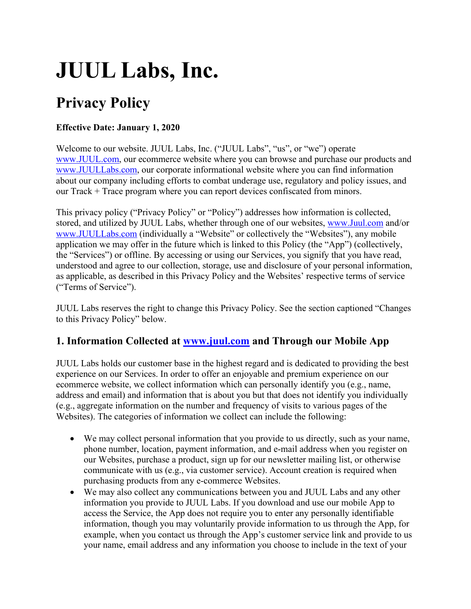# **JUUL Labs, Inc.**

# **Privacy Policy**

#### **Effective Date: January 1, 2020**

Welcome to our website. JUUL Labs, Inc. ("JUUL Labs", "us", or "we") operate www.JUUL.com, our ecommerce website where you can browse and purchase our products and www.JUULLabs.com, our corporate informational website where you can find information about our company including efforts to combat underage use, regulatory and policy issues, and our Track + Trace program where you can report devices confiscated from minors.

This privacy policy ("Privacy Policy" or "Policy") addresses how information is collected, stored, and utilized by JUUL Labs, whether through one of our websites, www.Juul.com and/or www.JUULLabs.com (individually a "Website" or collectively the "Websites"), any mobile application we may offer in the future which is linked to this Policy (the "App") (collectively, the "Services") or offline. By accessing or using our Services, you signify that you have read, understood and agree to our collection, storage, use and disclosure of your personal information, as applicable, as described in this Privacy Policy and the Websites' respective terms of service ("Terms of Service").

JUUL Labs reserves the right to change this Privacy Policy. See the section captioned "Changes to this Privacy Policy" below.

# **1. Information Collected at www.juul.com and Through our Mobile App**

JUUL Labs holds our customer base in the highest regard and is dedicated to providing the best experience on our Services. In order to offer an enjoyable and premium experience on our ecommerce website, we collect information which can personally identify you (e.g., name, address and email) and information that is about you but that does not identify you individually (e.g., aggregate information on the number and frequency of visits to various pages of the Websites). The categories of information we collect can include the following:

- We may collect personal information that you provide to us directly, such as your name, phone number, location, payment information, and e-mail address when you register on our Websites, purchase a product, sign up for our newsletter mailing list, or otherwise communicate with us (e.g., via customer service). Account creation is required when purchasing products from any e-commerce Websites.
- We may also collect any communications between you and JUUL Labs and any other information you provide to JUUL Labs. If you download and use our mobile App to access the Service, the App does not require you to enter any personally identifiable information, though you may voluntarily provide information to us through the App, for example, when you contact us through the App's customer service link and provide to us your name, email address and any information you choose to include in the text of your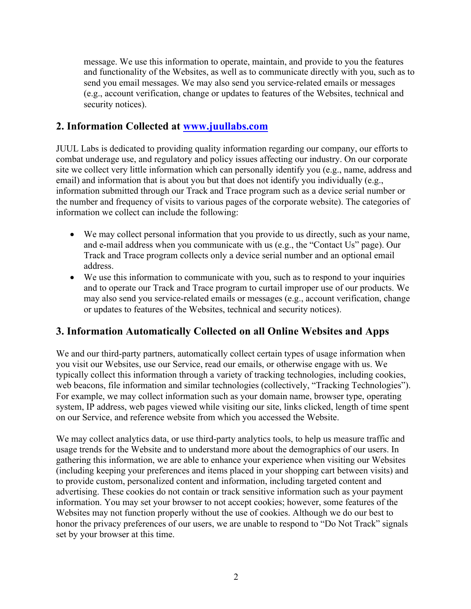message. We use this information to operate, maintain, and provide to you the features and functionality of the Websites, as well as to communicate directly with you, such as to send you email messages. We may also send you service-related emails or messages (e.g., account verification, change or updates to features of the Websites, technical and security notices).

# **2. Information Collected at www.juullabs.com**

JUUL Labs is dedicated to providing quality information regarding our company, our efforts to combat underage use, and regulatory and policy issues affecting our industry. On our corporate site we collect very little information which can personally identify you (e.g., name, address and email) and information that is about you but that does not identify you individually (e.g., information submitted through our Track and Trace program such as a device serial number or the number and frequency of visits to various pages of the corporate website). The categories of information we collect can include the following:

- We may collect personal information that you provide to us directly, such as your name, and e-mail address when you communicate with us (e.g., the "Contact Us" page). Our Track and Trace program collects only a device serial number and an optional email address.
- We use this information to communicate with you, such as to respond to your inquiries and to operate our Track and Trace program to curtail improper use of our products. We may also send you service-related emails or messages (e.g., account verification, change or updates to features of the Websites, technical and security notices).

# **3. Information Automatically Collected on all Online Websites and Apps**

We and our third-party partners, automatically collect certain types of usage information when you visit our Websites, use our Service, read our emails, or otherwise engage with us. We typically collect this information through a variety of tracking technologies, including cookies, web beacons, file information and similar technologies (collectively, "Tracking Technologies"). For example, we may collect information such as your domain name, browser type, operating system, IP address, web pages viewed while visiting our site, links clicked, length of time spent on our Service, and reference website from which you accessed the Website.

We may collect analytics data, or use third-party analytics tools, to help us measure traffic and usage trends for the Website and to understand more about the demographics of our users. In gathering this information, we are able to enhance your experience when visiting our Websites (including keeping your preferences and items placed in your shopping cart between visits) and to provide custom, personalized content and information, including targeted content and advertising. These cookies do not contain or track sensitive information such as your payment information. You may set your browser to not accept cookies; however, some features of the Websites may not function properly without the use of cookies. Although we do our best to honor the privacy preferences of our users, we are unable to respond to "Do Not Track" signals set by your browser at this time.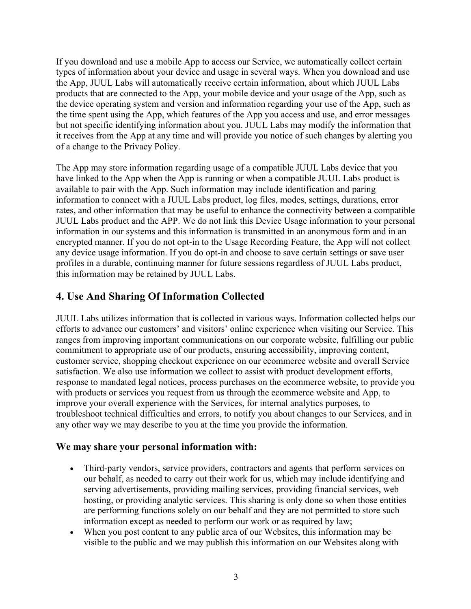If you download and use a mobile App to access our Service, we automatically collect certain types of information about your device and usage in several ways. When you download and use the App, JUUL Labs will automatically receive certain information, about which JUUL Labs products that are connected to the App, your mobile device and your usage of the App, such as the device operating system and version and information regarding your use of the App, such as the time spent using the App, which features of the App you access and use, and error messages but not specific identifying information about you. JUUL Labs may modify the information that it receives from the App at any time and will provide you notice of such changes by alerting you of a change to the Privacy Policy.

The App may store information regarding usage of a compatible JUUL Labs device that you have linked to the App when the App is running or when a compatible JUUL Labs product is available to pair with the App. Such information may include identification and paring information to connect with a JUUL Labs product, log files, modes, settings, durations, error rates, and other information that may be useful to enhance the connectivity between a compatible JUUL Labs product and the APP. We do not link this Device Usage information to your personal information in our systems and this information is transmitted in an anonymous form and in an encrypted manner. If you do not opt-in to the Usage Recording Feature, the App will not collect any device usage information. If you do opt-in and choose to save certain settings or save user profiles in a durable, continuing manner for future sessions regardless of JUUL Labs product, this information may be retained by JUUL Labs.

# **4. Use And Sharing Of Information Collected**

JUUL Labs utilizes information that is collected in various ways. Information collected helps our efforts to advance our customers' and visitors' online experience when visiting our Service. This ranges from improving important communications on our corporate website, fulfilling our public commitment to appropriate use of our products, ensuring accessibility, improving content, customer service, shopping checkout experience on our ecommerce website and overall Service satisfaction. We also use information we collect to assist with product development efforts, response to mandated legal notices, process purchases on the ecommerce website, to provide you with products or services you request from us through the ecommerce website and App, to improve your overall experience with the Services, for internal analytics purposes, to troubleshoot technical difficulties and errors, to notify you about changes to our Services, and in any other way we may describe to you at the time you provide the information.

#### **We may share your personal information with:**

- Third-party vendors, service providers, contractors and agents that perform services on our behalf, as needed to carry out their work for us, which may include identifying and serving advertisements, providing mailing services, providing financial services, web hosting, or providing analytic services. This sharing is only done so when those entities are performing functions solely on our behalf and they are not permitted to store such information except as needed to perform our work or as required by law;
- When you post content to any public area of our Websites, this information may be visible to the public and we may publish this information on our Websites along with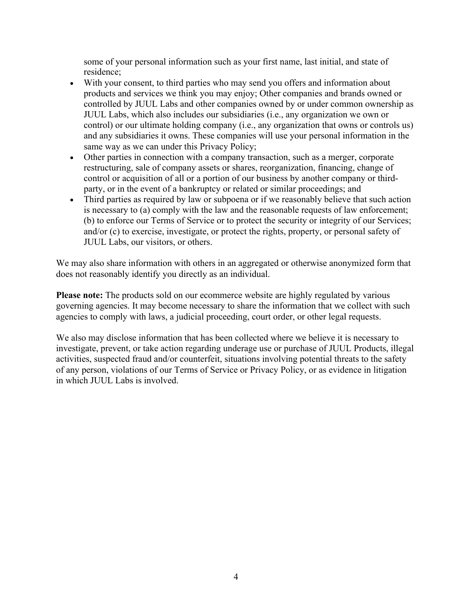some of your personal information such as your first name, last initial, and state of residence;

- With your consent, to third parties who may send you offers and information about products and services we think you may enjoy; Other companies and brands owned or controlled by JUUL Labs and other companies owned by or under common ownership as JUUL Labs, which also includes our subsidiaries (i.e., any organization we own or control) or our ultimate holding company (i.e., any organization that owns or controls us) and any subsidiaries it owns. These companies will use your personal information in the same way as we can under this Privacy Policy;
- Other parties in connection with a company transaction, such as a merger, corporate restructuring, sale of company assets or shares, reorganization, financing, change of control or acquisition of all or a portion of our business by another company or thirdparty, or in the event of a bankruptcy or related or similar proceedings; and
- Third parties as required by law or subpoena or if we reasonably believe that such action is necessary to (a) comply with the law and the reasonable requests of law enforcement; (b) to enforce our Terms of Service or to protect the security or integrity of our Services; and/or (c) to exercise, investigate, or protect the rights, property, or personal safety of JUUL Labs, our visitors, or others.

We may also share information with others in an aggregated or otherwise anonymized form that does not reasonably identify you directly as an individual.

**Please note:** The products sold on our ecommerce website are highly regulated by various governing agencies. It may become necessary to share the information that we collect with such agencies to comply with laws, a judicial proceeding, court order, or other legal requests.

We also may disclose information that has been collected where we believe it is necessary to investigate, prevent, or take action regarding underage use or purchase of JUUL Products, illegal activities, suspected fraud and/or counterfeit, situations involving potential threats to the safety of any person, violations of our Terms of Service or Privacy Policy, or as evidence in litigation in which JUUL Labs is involved.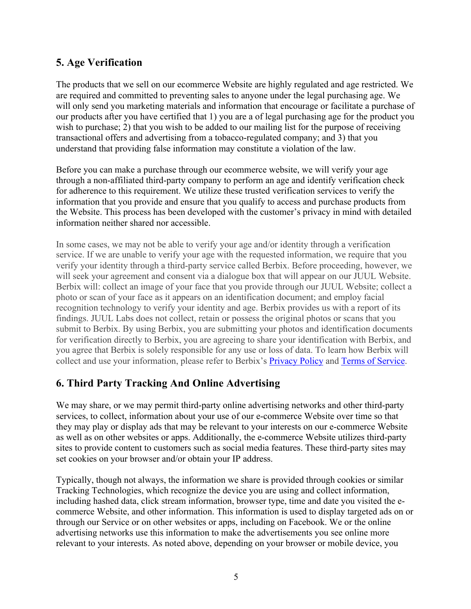# **5. Age Verification**

The products that we sell on our ecommerce Website are highly regulated and age restricted. We are required and committed to preventing sales to anyone under the legal purchasing age. We will only send you marketing materials and information that encourage or facilitate a purchase of our products after you have certified that 1) you are a of legal purchasing age for the product you wish to purchase; 2) that you wish to be added to our mailing list for the purpose of receiving transactional offers and advertising from a tobacco-regulated company; and 3) that you understand that providing false information may constitute a violation of the law.

Before you can make a purchase through our ecommerce website, we will verify your age through a non-affiliated third-party company to perform an age and identify verification check for adherence to this requirement. We utilize these trusted verification services to verify the information that you provide and ensure that you qualify to access and purchase products from the Website. This process has been developed with the customer's privacy in mind with detailed information neither shared nor accessible.

In some cases, we may not be able to verify your age and/or identity through a verification service. If we are unable to verify your age with the requested information, we require that you verify your identity through a third-party service called Berbix. Before proceeding, however, we will seek your agreement and consent via a dialogue box that will appear on our JUUL Website. Berbix will: collect an image of your face that you provide through our JUUL Website; collect a photo or scan of your face as it appears on an identification document; and employ facial recognition technology to verify your identity and age. Berbix provides us with a report of its findings. JUUL Labs does not collect, retain or possess the original photos or scans that you submit to Berbix. By using Berbix, you are submitting your photos and identification documents for verification directly to Berbix, you are agreeing to share your identification with Berbix, and you agree that Berbix is solely responsible for any use or loss of data. To learn how Berbix will collect and use your information, please refer to Berbix's Privacy Policy and Terms of Service.

# **6. Third Party Tracking And Online Advertising**

We may share, or we may permit third-party online advertising networks and other third-party services, to collect, information about your use of our e-commerce Website over time so that they may play or display ads that may be relevant to your interests on our e-commerce Website as well as on other websites or apps. Additionally, the e-commerce Website utilizes third-party sites to provide content to customers such as social media features. These third-party sites may set cookies on your browser and/or obtain your IP address.

Typically, though not always, the information we share is provided through cookies or similar Tracking Technologies, which recognize the device you are using and collect information, including hashed data, click stream information, browser type, time and date you visited the ecommerce Website, and other information. This information is used to display targeted ads on or through our Service or on other websites or apps, including on Facebook. We or the online advertising networks use this information to make the advertisements you see online more relevant to your interests. As noted above, depending on your browser or mobile device, you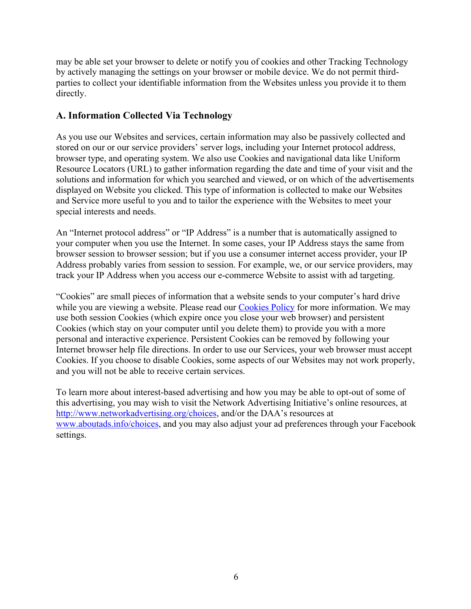may be able set your browser to delete or notify you of cookies and other Tracking Technology by actively managing the settings on your browser or mobile device. We do not permit thirdparties to collect your identifiable information from the Websites unless you provide it to them directly.

#### **A. Information Collected Via Technology**

As you use our Websites and services, certain information may also be passively collected and stored on our or our service providers' server logs, including your Internet protocol address, browser type, and operating system. We also use Cookies and navigational data like Uniform Resource Locators (URL) to gather information regarding the date and time of your visit and the solutions and information for which you searched and viewed, or on which of the advertisements displayed on Website you clicked. This type of information is collected to make our Websites and Service more useful to you and to tailor the experience with the Websites to meet your special interests and needs.

An "Internet protocol address" or "IP Address" is a number that is automatically assigned to your computer when you use the Internet. In some cases, your IP Address stays the same from browser session to browser session; but if you use a consumer internet access provider, your IP Address probably varies from session to session. For example, we, or our service providers, may track your IP Address when you access our e-commerce Website to assist with ad targeting.

"Cookies" are small pieces of information that a website sends to your computer's hard drive while you are viewing a website. Please read our Cookies Policy for more information. We may use both session Cookies (which expire once you close your web browser) and persistent Cookies (which stay on your computer until you delete them) to provide you with a more personal and interactive experience. Persistent Cookies can be removed by following your Internet browser help file directions. In order to use our Services, your web browser must accept Cookies. If you choose to disable Cookies, some aspects of our Websites may not work properly, and you will not be able to receive certain services.

To learn more about interest-based advertising and how you may be able to opt-out of some of this advertising, you may wish to visit the Network Advertising Initiative's online resources, at http://www.networkadvertising.org/choices, and/or the DAA's resources at www.aboutads.info/choices, and you may also adjust your ad preferences through your Facebook settings.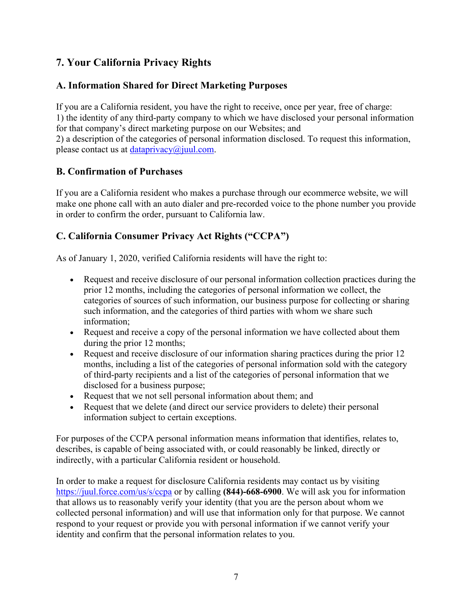# **7. Your California Privacy Rights**

# **A. Information Shared for Direct Marketing Purposes**

If you are a California resident, you have the right to receive, once per year, free of charge: 1) the identity of any third-party company to which we have disclosed your personal information for that company's direct marketing purpose on our Websites; and 2) a description of the categories of personal information disclosed. To request this information, please contact us at dataprivacy $(\widehat{\omega})$ juul.com.

# **B. Confirmation of Purchases**

If you are a California resident who makes a purchase through our ecommerce website, we will make one phone call with an auto dialer and pre-recorded voice to the phone number you provide in order to confirm the order, pursuant to California law.

# **C. California Consumer Privacy Act Rights ("CCPA")**

As of January 1, 2020, verified California residents will have the right to:

- Request and receive disclosure of our personal information collection practices during the prior 12 months, including the categories of personal information we collect, the categories of sources of such information, our business purpose for collecting or sharing such information, and the categories of third parties with whom we share such information;
- Request and receive a copy of the personal information we have collected about them during the prior 12 months;
- Request and receive disclosure of our information sharing practices during the prior 12 months, including a list of the categories of personal information sold with the category of third-party recipients and a list of the categories of personal information that we disclosed for a business purpose;
- Request that we not sell personal information about them; and
- Request that we delete (and direct our service providers to delete) their personal information subject to certain exceptions.

For purposes of the CCPA personal information means information that identifies, relates to, describes, is capable of being associated with, or could reasonably be linked, directly or indirectly, with a particular California resident or household.

In order to make a request for disclosure California residents may contact us by visiting https://juul.force.com/us/s/ccpa or by calling **(844)-668-6900**. We will ask you for information that allows us to reasonably verify your identity (that you are the person about whom we collected personal information) and will use that information only for that purpose. We cannot respond to your request or provide you with personal information if we cannot verify your identity and confirm that the personal information relates to you.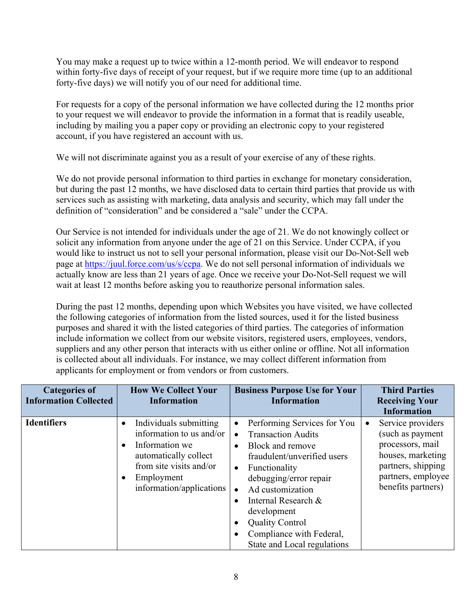You may make a request up to twice within a 12-month period. We will endeavor to respond within forty-five days of receipt of your request, but if we require more time (up to an additional forty-five days) we will notify you of our need for additional time.

For requests for a copy of the personal information we have collected during the 12 months prior to your request we will endeavor to provide the information in a format that is readily useable, including by mailing you a paper copy or providing an electronic copy to your registered account, if you have registered an account with us.

We will not discriminate against you as a result of your exercise of any of these rights.

We do not provide personal information to third parties in exchange for monetary consideration, but during the past 12 months, we have disclosed data to certain third parties that provide us with services such as assisting with marketing, data analysis and security, which may fall under the definition of "consideration" and be considered a "sale" under the CCPA.

Our Service is not intended for individuals under the age of 21. We do not knowingly collect or solicit any information from anyone under the age of 21 on this Service. Under CCPA, if you would like to instruct us not to sell your personal information, please visit our Do-Not-Sell web page at https://juul.force.com/us/s/ccpa. We do not sell personal information of individuals we actually know are less than 21 years of age. Once we receive your Do-Not-Sell request we will wait at least 12 months before asking you to reauthorize personal information sales.

During the past 12 months, depending upon which Websites you have visited, we have collected the following categories of information from the listed sources, used it for the listed business purposes and shared it with the listed categories of third parties. The categories of information include information we collect from our website visitors, registered users, employees, vendors, suppliers and any other person that interacts with us either online or offline. Not all information is collected about all individuals. For instance, we may collect different information from applicants for employment or from vendors or from customers.

| <b>Categories of</b><br><b>Information Collected</b> | <b>How We Collect Your</b><br><b>Information</b>                                                                                                                                | <b>Business Purpose Use for Your</b><br><b>Information</b>                                                                                                                                                                                                                                                                                                | <b>Third Parties</b><br><b>Receiving Your</b><br><b>Information</b>                                                                                           |
|------------------------------------------------------|---------------------------------------------------------------------------------------------------------------------------------------------------------------------------------|-----------------------------------------------------------------------------------------------------------------------------------------------------------------------------------------------------------------------------------------------------------------------------------------------------------------------------------------------------------|---------------------------------------------------------------------------------------------------------------------------------------------------------------|
| <b>Identifiers</b>                                   | Individuals submitting<br>information to us and/or<br>Information we<br>$\bullet$<br>automatically collect<br>from site visits and/or<br>Employment<br>information/applications | Performing Services for You<br>$\bullet$<br><b>Transaction Audits</b><br>$\bullet$<br>Block and remove<br>$\bullet$<br>fraudulent/unverified users<br>Functionality<br>$\bullet$<br>debugging/error repair<br>Ad customization<br>Internal Research &<br>development<br><b>Quality Control</b><br>Compliance with Federal,<br>State and Local regulations | Service providers<br>$\bullet$<br>(such as payment<br>processors, mail<br>houses, marketing<br>partners, shipping<br>partners, employee<br>benefits partners) |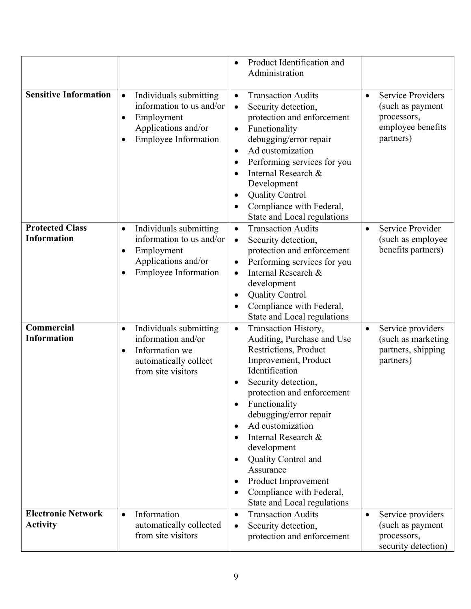|                                              |                                                                                                                                                               | Product Identification and<br>$\bullet$<br>Administration                                                                                                                                                                                                                                                                                                                                                                            |                                                                                                            |
|----------------------------------------------|---------------------------------------------------------------------------------------------------------------------------------------------------------------|--------------------------------------------------------------------------------------------------------------------------------------------------------------------------------------------------------------------------------------------------------------------------------------------------------------------------------------------------------------------------------------------------------------------------------------|------------------------------------------------------------------------------------------------------------|
| <b>Sensitive Information</b>                 | Individuals submitting<br>$\bullet$<br>information to us and/or<br>Employment<br>$\bullet$<br>Applications and/or<br><b>Employee Information</b><br>$\bullet$ | <b>Transaction Audits</b><br>$\bullet$<br>Security detection,<br>$\bullet$<br>protection and enforcement<br>Functionality<br>$\bullet$<br>debugging/error repair<br>Ad customization<br>$\bullet$<br>Performing services for you<br>$\bullet$<br>Internal Research &<br>Development<br><b>Quality Control</b><br>$\bullet$<br>Compliance with Federal,<br>State and Local regulations                                                | <b>Service Providers</b><br>$\bullet$<br>(such as payment<br>processors,<br>employee benefits<br>partners) |
| <b>Protected Class</b><br><b>Information</b> | Individuals submitting<br>$\bullet$<br>information to us and/or<br>Employment<br>$\bullet$<br>Applications and/or<br><b>Employee Information</b><br>$\bullet$ | <b>Transaction Audits</b><br>$\bullet$<br>Security detection,<br>$\bullet$<br>protection and enforcement<br>Performing services for you<br>$\bullet$<br>Internal Research &<br>$\bullet$<br>development<br><b>Quality Control</b><br>Compliance with Federal,<br>State and Local regulations                                                                                                                                         | Service Provider<br>$\bullet$<br>(such as employee<br>benefits partners)                                   |
| Commercial<br><b>Information</b>             | Individuals submitting<br>$\bullet$<br>information and/or<br>Information we<br>$\bullet$<br>automatically collect<br>from site visitors                       | Transaction History,<br>$\bullet$<br>Auditing, Purchase and Use<br>Restrictions, Product<br>Improvement, Product<br>Identification<br>Security detection,<br>protection and enforcement<br>Functionality<br>debugging/error repair<br>Ad customization<br>$\bullet$<br>Internal Research &<br>development<br>Quality Control and<br>Assurance<br>Product Improvement<br>٠<br>Compliance with Federal,<br>State and Local regulations | Service providers<br>$\bullet$<br>(such as marketing<br>partners, shipping<br>partners)                    |
| <b>Electronic Network</b><br><b>Activity</b> | Information<br>$\bullet$<br>automatically collected<br>from site visitors                                                                                     | <b>Transaction Audits</b><br>$\bullet$<br>Security detection,<br>٠<br>protection and enforcement                                                                                                                                                                                                                                                                                                                                     | Service providers<br>$\bullet$<br>(such as payment<br>processors,<br>security detection)                   |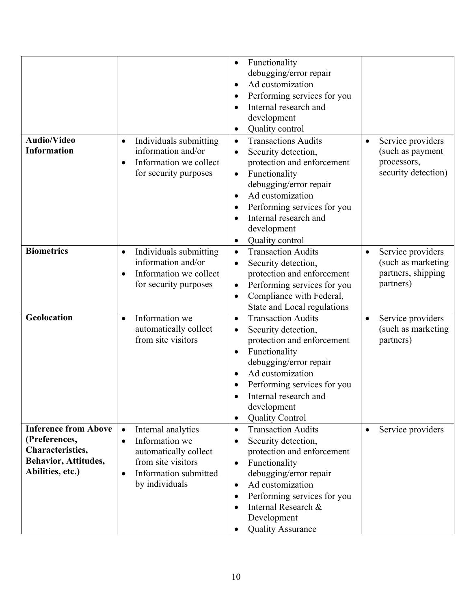|                                                                                                                     |                                                                                                                                                          | Functionality<br>debugging/error repair<br>Ad customization<br>$\bullet$<br>Performing services for you<br>Internal research and<br>development<br>Quality control                                                                                                                    |                                                                                          |
|---------------------------------------------------------------------------------------------------------------------|----------------------------------------------------------------------------------------------------------------------------------------------------------|---------------------------------------------------------------------------------------------------------------------------------------------------------------------------------------------------------------------------------------------------------------------------------------|------------------------------------------------------------------------------------------|
| <b>Audio/Video</b><br><b>Information</b>                                                                            | Individuals submitting<br>$\bullet$<br>information and/or<br>Information we collect<br>$\bullet$<br>for security purposes                                | <b>Transactions Audits</b><br>$\bullet$<br>Security detection,<br>protection and enforcement<br>Functionality<br>۰<br>debugging/error repair<br>Ad customization<br>$\bullet$<br>Performing services for you<br>Internal research and<br>development<br>Quality control               | Service providers<br>$\bullet$<br>(such as payment<br>processors,<br>security detection) |
| <b>Biometrics</b>                                                                                                   | Individuals submitting<br>٠<br>information and/or<br>Information we collect<br>$\bullet$<br>for security purposes                                        | <b>Transaction Audits</b><br>$\bullet$<br>Security detection,<br>protection and enforcement<br>Performing services for you<br>Compliance with Federal,<br>State and Local regulations                                                                                                 | Service providers<br>٠<br>(such as marketing<br>partners, shipping<br>partners)          |
| Geolocation                                                                                                         | Information we<br>$\bullet$<br>automatically collect<br>from site visitors                                                                               | <b>Transaction Audits</b><br>$\bullet$<br>Security detection,<br>protection and enforcement<br>Functionality<br>debugging/error repair<br>Ad customization<br>Performing services for you<br>Internal research and<br>development<br><b>Quality Control</b>                           | Service providers<br>$\bullet$<br>(such as marketing<br>partners)                        |
| <b>Inference from Above</b><br>(Preferences,<br>Characteristics,<br><b>Behavior, Attitudes,</b><br>Abilities, etc.) | Internal analytics<br>Information we<br>$\bullet$<br>automatically collect<br>from site visitors<br>Information submitted<br>$\bullet$<br>by individuals | <b>Transaction Audits</b><br>$\bullet$<br>Security detection,<br>protection and enforcement<br>Functionality<br>$\bullet$<br>debugging/error repair<br>Ad customization<br>$\bullet$<br>Performing services for you<br>Internal Research &<br>Development<br><b>Quality Assurance</b> | Service providers<br>$\bullet$                                                           |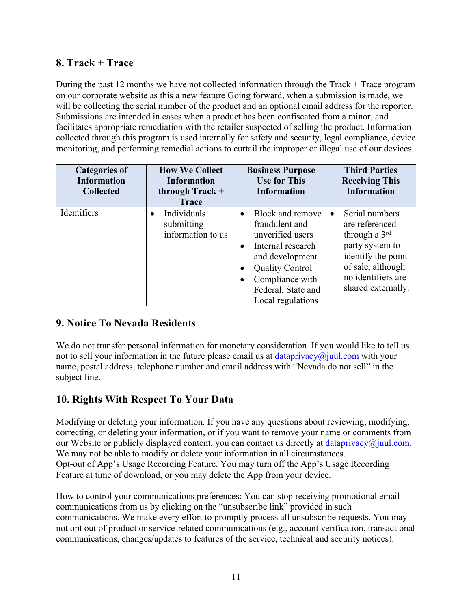# **8. Track + Trace**

During the past 12 months we have not collected information through the Track + Trace program on our corporate website as this a new feature Going forward, when a submission is made, we will be collecting the serial number of the product and an optional email address for the reporter. Submissions are intended in cases when a product has been confiscated from a minor, and facilitates appropriate remediation with the retailer suspected of selling the product. Information collected through this program is used internally for safety and security, legal compliance, device monitoring, and performing remedial actions to curtail the improper or illegal use of our devices.

| <b>Categories of</b><br><b>Information</b><br><b>Collected</b> | <b>How We Collect</b><br><b>Information</b><br>through $Track +$<br><b>Trace</b> | <b>Business Purpose</b><br><b>Use for This</b><br><b>Information</b>                                                                                                                                             | <b>Third Parties</b><br><b>Receiving This</b><br><b>Information</b>                                                                                                                  |
|----------------------------------------------------------------|----------------------------------------------------------------------------------|------------------------------------------------------------------------------------------------------------------------------------------------------------------------------------------------------------------|--------------------------------------------------------------------------------------------------------------------------------------------------------------------------------------|
| Identifiers                                                    | Individuals<br>$\bullet$<br>submitting<br>information to us                      | Block and remove<br>$\bullet$<br>fraudulent and<br>unverified users<br>Internal research<br>$\bullet$<br>and development<br><b>Quality Control</b><br>Compliance with<br>Federal, State and<br>Local regulations | Serial numbers<br>$\bullet$<br>are referenced<br>through a $3^{\text{rd}}$<br>party system to<br>identify the point<br>of sale, although<br>no identifiers are<br>shared externally. |

# **9. Notice To Nevada Residents**

We do not transfer personal information for monetary consideration. If you would like to tell us not to sell your information in the future please email us at dataprivacy $\omega$ juul.com with your name, postal address, telephone number and email address with "Nevada do not sell" in the subject line.

# **10. Rights With Respect To Your Data**

Modifying or deleting your information. If you have any questions about reviewing, modifying, correcting, or deleting your information, or if you want to remove your name or comments from our Website or publicly displayed content, you can contact us directly at dataprivacy $\omega_j$ uul.com. We may not be able to modify or delete your information in all circumstances. Opt-out of App's Usage Recording Feature. You may turn off the App's Usage Recording Feature at time of download, or you may delete the App from your device.

How to control your communications preferences: You can stop receiving promotional email communications from us by clicking on the "unsubscribe link" provided in such communications. We make every effort to promptly process all unsubscribe requests. You may not opt out of product or service-related communications (e.g., account verification, transactional communications, changes/updates to features of the service, technical and security notices).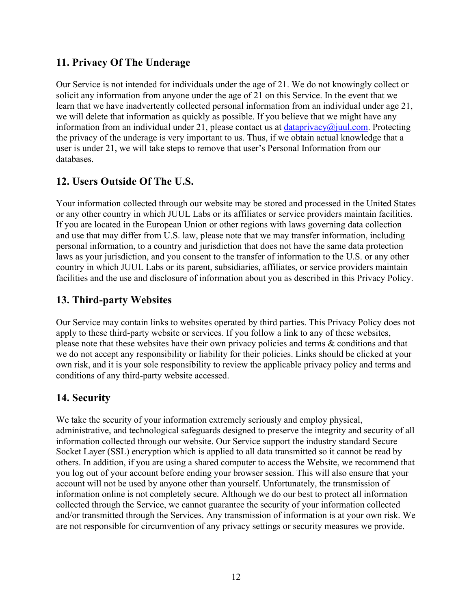# **11. Privacy Of The Underage**

Our Service is not intended for individuals under the age of 21. We do not knowingly collect or solicit any information from anyone under the age of 21 on this Service. In the event that we learn that we have inadvertently collected personal information from an individual under age 21, we will delete that information as quickly as possible. If you believe that we might have any information from an individual under 21, please contact us at dataprivacy@juul.com. Protecting the privacy of the underage is very important to us. Thus, if we obtain actual knowledge that a user is under 21, we will take steps to remove that user's Personal Information from our databases.

# **12. Users Outside Of The U.S.**

Your information collected through our website may be stored and processed in the United States or any other country in which JUUL Labs or its affiliates or service providers maintain facilities. If you are located in the European Union or other regions with laws governing data collection and use that may differ from U.S. law, please note that we may transfer information, including personal information, to a country and jurisdiction that does not have the same data protection laws as your jurisdiction, and you consent to the transfer of information to the U.S. or any other country in which JUUL Labs or its parent, subsidiaries, affiliates, or service providers maintain facilities and the use and disclosure of information about you as described in this Privacy Policy.

# **13. Third-party Websites**

Our Service may contain links to websites operated by third parties. This Privacy Policy does not apply to these third-party website or services. If you follow a link to any of these websites, please note that these websites have their own privacy policies and terms & conditions and that we do not accept any responsibility or liability for their policies. Links should be clicked at your own risk, and it is your sole responsibility to review the applicable privacy policy and terms and conditions of any third-party website accessed.

# **14. Security**

We take the security of your information extremely seriously and employ physical, administrative, and technological safeguards designed to preserve the integrity and security of all information collected through our website. Our Service support the industry standard Secure Socket Layer (SSL) encryption which is applied to all data transmitted so it cannot be read by others. In addition, if you are using a shared computer to access the Website, we recommend that you log out of your account before ending your browser session. This will also ensure that your account will not be used by anyone other than yourself. Unfortunately, the transmission of information online is not completely secure. Although we do our best to protect all information collected through the Service, we cannot guarantee the security of your information collected and/or transmitted through the Services. Any transmission of information is at your own risk. We are not responsible for circumvention of any privacy settings or security measures we provide.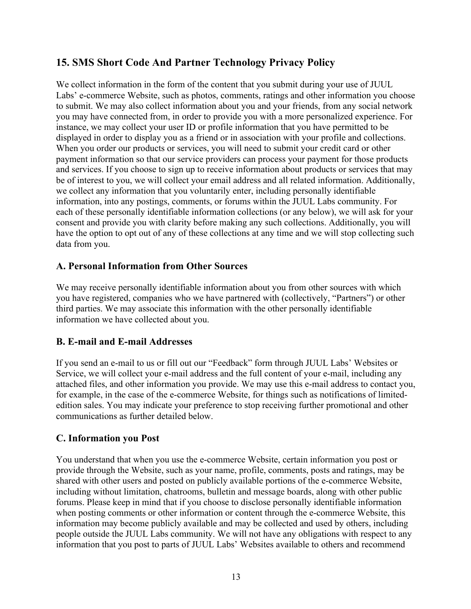# **15. SMS Short Code And Partner Technology Privacy Policy**

We collect information in the form of the content that you submit during your use of JUUL Labs' e-commerce Website, such as photos, comments, ratings and other information you choose to submit. We may also collect information about you and your friends, from any social network you may have connected from, in order to provide you with a more personalized experience. For instance, we may collect your user ID or profile information that you have permitted to be displayed in order to display you as a friend or in association with your profile and collections. When you order our products or services, you will need to submit your credit card or other payment information so that our service providers can process your payment for those products and services. If you choose to sign up to receive information about products or services that may be of interest to you, we will collect your email address and all related information. Additionally, we collect any information that you voluntarily enter, including personally identifiable information, into any postings, comments, or forums within the JUUL Labs community. For each of these personally identifiable information collections (or any below), we will ask for your consent and provide you with clarity before making any such collections. Additionally, you will have the option to opt out of any of these collections at any time and we will stop collecting such data from you.

#### **A. Personal Information from Other Sources**

We may receive personally identifiable information about you from other sources with which you have registered, companies who we have partnered with (collectively, "Partners") or other third parties. We may associate this information with the other personally identifiable information we have collected about you.

#### **B. E-mail and E-mail Addresses**

If you send an e-mail to us or fill out our "Feedback" form through JUUL Labs' Websites or Service, we will collect your e-mail address and the full content of your e-mail, including any attached files, and other information you provide. We may use this e-mail address to contact you, for example, in the case of the e-commerce Website, for things such as notifications of limitededition sales. You may indicate your preference to stop receiving further promotional and other communications as further detailed below.

#### **C. Information you Post**

You understand that when you use the e-commerce Website, certain information you post or provide through the Website, such as your name, profile, comments, posts and ratings, may be shared with other users and posted on publicly available portions of the e-commerce Website, including without limitation, chatrooms, bulletin and message boards, along with other public forums. Please keep in mind that if you choose to disclose personally identifiable information when posting comments or other information or content through the e-commerce Website, this information may become publicly available and may be collected and used by others, including people outside the JUUL Labs community. We will not have any obligations with respect to any information that you post to parts of JUUL Labs' Websites available to others and recommend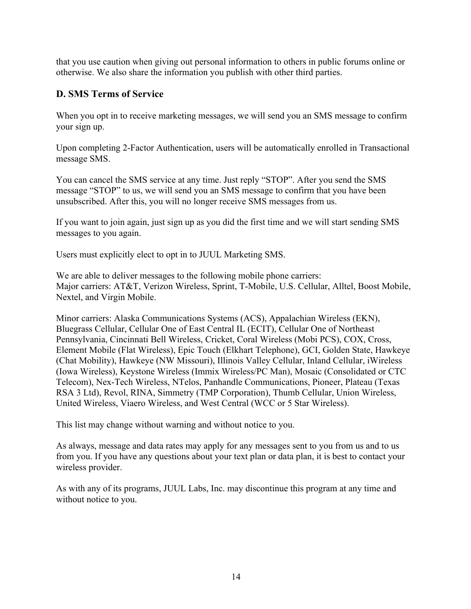that you use caution when giving out personal information to others in public forums online or otherwise. We also share the information you publish with other third parties.

#### **D. SMS Terms of Service**

When you opt in to receive marketing messages, we will send you an SMS message to confirm your sign up.

Upon completing 2-Factor Authentication, users will be automatically enrolled in Transactional message SMS.

You can cancel the SMS service at any time. Just reply "STOP". After you send the SMS message "STOP" to us, we will send you an SMS message to confirm that you have been unsubscribed. After this, you will no longer receive SMS messages from us.

If you want to join again, just sign up as you did the first time and we will start sending SMS messages to you again.

Users must explicitly elect to opt in to JUUL Marketing SMS.

We are able to deliver messages to the following mobile phone carriers: Major carriers: AT&T, Verizon Wireless, Sprint, T-Mobile, U.S. Cellular, Alltel, Boost Mobile, Nextel, and Virgin Mobile.

Minor carriers: Alaska Communications Systems (ACS), Appalachian Wireless (EKN), Bluegrass Cellular, Cellular One of East Central IL (ECIT), Cellular One of Northeast Pennsylvania, Cincinnati Bell Wireless, Cricket, Coral Wireless (Mobi PCS), COX, Cross, Element Mobile (Flat Wireless), Epic Touch (Elkhart Telephone), GCI, Golden State, Hawkeye (Chat Mobility), Hawkeye (NW Missouri), Illinois Valley Cellular, Inland Cellular, iWireless (Iowa Wireless), Keystone Wireless (Immix Wireless/PC Man), Mosaic (Consolidated or CTC Telecom), Nex-Tech Wireless, NTelos, Panhandle Communications, Pioneer, Plateau (Texas RSA 3 Ltd), Revol, RINA, Simmetry (TMP Corporation), Thumb Cellular, Union Wireless, United Wireless, Viaero Wireless, and West Central (WCC or 5 Star Wireless).

This list may change without warning and without notice to you.

As always, message and data rates may apply for any messages sent to you from us and to us from you. If you have any questions about your text plan or data plan, it is best to contact your wireless provider.

As with any of its programs, JUUL Labs, Inc. may discontinue this program at any time and without notice to you.